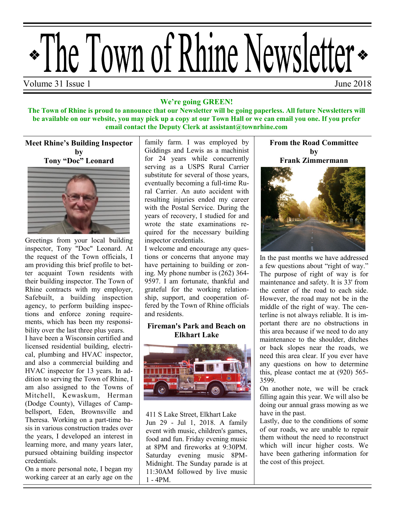

#### **We're going GREEN!**

**The Town of Rhine is proud to announce that our Newsletter will be going paperless. All future Newsletters will be available on our website, you may pick up a copy at our Town Hall or we can email you one. If you prefer email contact the Deputy Clerk at assistant@townrhine.com**

#### **Meet Rhine's Building Inspector by Tony "Doc" Leonard**



Greetings from your local building inspector, Tony "Doc" Leonard. At the request of the Town officials, I am providing this brief profile to better acquaint Town residents with their building inspector. The Town of Rhine contracts with my employer, Safebuilt, a building inspection agency, to perform building inspections and enforce zoning requirements, which has been my responsibility over the last three plus years.

I have been a Wisconsin certified and licensed residential building, electrical, plumbing and HVAC inspector, and also a commercial building and HVAC inspector for 13 years. In addition to serving the Town of Rhine, I am also assigned to the Towns of Mitchell, Kewaskum, Herman (Dodge County), Villages of Campbellsport, Eden, Brownsville and Theresa. Working on a part-time basis in various construction trades over the years, I developed an interest in learning more, and many years later, pursued obtaining building inspector credentials.

On a more personal note, I began my working career at an early age on the

family farm. I was employed by Giddings and Lewis as a machinist for 24 years while concurrently serving as a USPS Rural Carrier substitute for several of those years, eventually becoming a full-time Rural Carrier. An auto accident with resulting injuries ended my career with the Postal Service. During the years of recovery, I studied for and wrote the state examinations required for the necessary building inspector credentials.

I welcome and encourage any questions or concerns that anyone may have pertaining to building or zoning. My phone number is (262) 364- 9597. I am fortunate, thankful and grateful for the working relationship, support, and cooperation offered by the Town of Rhine officials and residents.

### **Fireman's Park and Beach on Elkhart Lake**



411 S Lake Street, Elkhart Lake Jun 29 - Jul 1, 2018. A family event with music, children's games, food and fun. Friday evening music at 8PM and fireworks at 9:30PM. Saturday evening music 8PM-Midnight. The Sunday parade is at 11:30AM followed by live music 1 - 4PM.

**From the Road Committee by Frank Zimmermann**



In the past months we have addressed a few questions about "right of way." The purpose of right of way is for maintenance and safety. It is 33' from the center of the road to each side. However, the road may not be in the middle of the right of way. The centerline is not always reliable. It is important there are no obstructions in this area because if we need to do any maintenance to the shoulder, ditches or back slopes near the roads, we need this area clear. If you ever have any questions on how to determine this, please contact me at (920) 565- 3599.

On another note, we will be crack filling again this year. We will also be doing our annual grass mowing as we have in the past.

Lastly, due to the conditions of some of our roads, we are unable to repair them without the need to reconstruct which will incur higher costs. We have been gathering information for the cost of this project.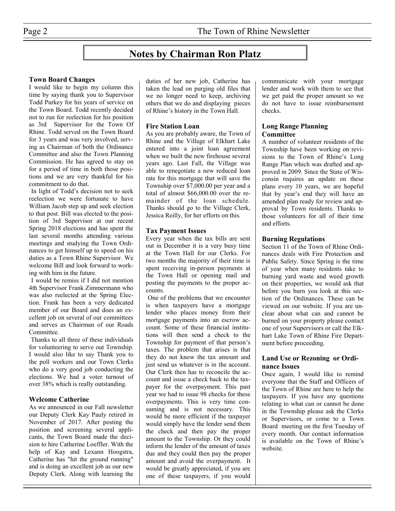# **Notes by Chairman Ron Platz**

#### **Town Board Changes**

I would like to begin my column this time by saying thank you to Supervisor Todd Purkey for his years of service on the Town Board. Todd recently decided not to run for reelection for his position as 3rd Supervisor for the Town Of Rhine. Todd served on the Town Board for 3 years and was very involved, serving as Chairman of both the Ordinance Committee and also the Town Planning Commission. He has agreed to stay on for a period of time in both those positions and we are very thankful for his commitment to do that.

In light of Todd's decision not to seek reelection we were fortunate to have William Jacob step up and seek election to that post. Bill was elected to the position of 3rd Supervisor at our recent Spring 2018 elections and has spent the last several months attending various meetings and studying the Town Ordinances to get himself up to speed on his duties as a Town Rhine Supervisor. We welcome Bill and look forward to working with him in the future.

I would be remiss if I did not mention 4th Supervisor Frank Zimmermann who was also reelected at the Spring Election. Frank has been a very dedicated member of our Board and does an excellent job on several of our committees and serves as Chairman of our Roads Committee.

Thanks to all three of these individuals for volunteering to serve out Township. I would also like to say Thank you to the poll workers and our Town Clerks who do a very good job conducting the elections. We had a voter turnout of over 38% which is really outstanding.

#### **Welcome Catherine**

As we announced in our Fall newsletter our Deputy Clerk Kay Pauly retired in November of 2017. After posting the position and screening several applicants, the Town Board made the decision to hire Catherine Loeffler. With the help of Kay and Lexann Hoogstra, Catherine has "hit the ground running" and is doing an excellent job as our new Deputy Clerk. Along with learning the duties of her new job, Catherine has taken the lead on purging old files that we no longer need to keep, archiving others that we do and displaying pieces of Rhine's history in the Town Hall.

#### **Fire Station Loan**

As you are probably aware, the Town of Rhine and the Village of Elkhart Lake entered into a joint loan agreement when we built the new firehouse several years ago. Last Fall, the Village was able to renegotiate a new reduced loan rate for this mortgage that will save the Township over \$7,000.00 per year and a total of almost \$66,000.00 over the remainder of the loan schedule. Thanks should go to the Village Clerk, Jessica Reilly, for her efforts on this.

#### **Tax Payment Issues**

Every year when the tax bills are sent out in December it is a very busy time at the Town Hall for our Clerks. For two months the majority of their time is spent receiving in-person payments at the Town Hall or opening mail and posting the payments to the proper accounts.

One of the problems that we encounter is when taxpayers have a mortgage lender who places money from their mortgage payments into an escrow account. Some of these financial institutions will then send a check to the Township for payment of that person's taxes. The problem that arises is that they do not know the tax amount and just send us whatever is in the account. Our Clerk then has to reconcile the account and issue a check back to the taxpayer for the overpayment. This past year we had to issue 98 checks for these overpayments. This is very time consuming and is not necessary. This would be more efficient if the taxpayer would simply have the lender send them the check and then pay the proper amount to the Township. Or they could inform the lender of the amount of taxes due and they could then pay the proper amount and avoid the overpayment. It would be greatly appreciated, if you are one of these taxpayers, if you would

communicate with your mortgage lender and work with them to see that we get paid the proper amount so we do not have to issue reimbursement checks.

#### **Long Range Planning Committee**

A number of volunteer residents of the Township have been working on revisions to the Town of Rhine's Long Range Plan which was drafted and approved in 2009. Since the State of Wisconsin requires an update on these plans every 10 years, we are hopeful that by year's end they will have an amended plan ready for review and approval by Town residents. Thanks to those volunteers for all of their time and efforts.

#### **Burning Regulations**

Section 11 of the Town of Rhine Ordinances deals with Fire Protection and Public Safety. Since Spring is the time of year when many residents take to burning yard waste and weed growth on their properties, we would ask that before you burn you look at this section of the Ordinances. These can be viewed on our website. If you are unclear about what can and cannot be burned on your property please contact one of your Supervisors or call the Elkhart Lake Town of Rhine Fire Department before proceeding.

#### **Land Use or Rezoning or Ordinance Issues**

Once again, I would like to remind everyone that the Staff and Officers of the Town of Rhine are here to help the taxpayers. If you have any questions relating to what can or cannot be done in the Township please ask the Clerks or Supervisors, or come to a Town Board meeting on the first Tuesday of every month. Our contact information is available on the Town of Rhine's website.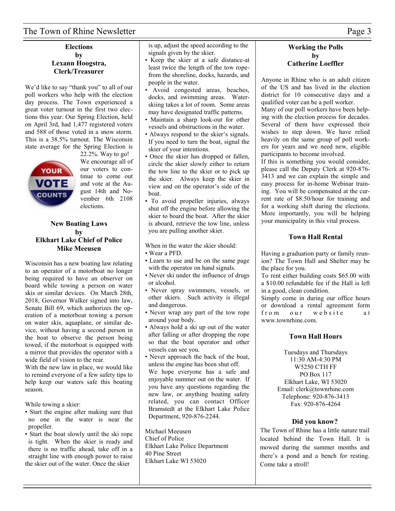## The Town of Rhine Newsletter Page 3

#### **Elections by Lexann Hoogstra, Clerk/Treasurer**

We'd like to say "thank you" to all of our poll workers who help with the election day process. The Town experienced a great voter turnout in the first two elections this year. Our Spring Election, held on April 3rd, had 1,477 registered voters and 588 of those voted in a snow storm. This is a 38.5% turnout. The Wisconsin state average for the Spring Election is



22.2%. Way to go! We encourage all of our voters to continue to come out and vote at the August 14th and November 6th 2108 elections.

#### **New Boating Laws by Elkhart Lake Chief of Police Mike Meeusen**

Wisconsin has a new boating law relating to an operator of a motorboat no longer being required to have an observer on board while towing a person on water skis or similar devices. On March 28th, 2018, Governor Walker signed into law, Senate Bill 69, which authorizes the operation of a motorboat towing a person on water skis, aquaplane, or similar device, without having a second person in the boat to observe the person being towed, if the motorboat is equipped with a mirror that provides the operator with a wide field of vision to the rear.

With the new law in place, we would like to remind everyone of a few safety tips to help keep our waters safe this boating season.

While towing a skier:

- Start the engine after making sure that no one in the water is near the propeller.
- Start the boat slowly until the ski rope is tight. When the skier is ready and there is no traffic ahead, take off in a straight line with enough power to raise the skier out of the water. Once the skier

 is up, adjust the speed according to the signals given by the skier.

- Keep the skier at a safe distance-at least twice the length of the tow rope from the shoreline, docks, hazards, and people in the water.
- Avoid congested areas, beaches, docks, and swimming areas. Water skiing takes a lot of room. Some areas may have designated traffic patterns.
- Maintain a sharp look-out for other vessels and obstructions in the water.
- Always respond to the skier's signals. If you need to turn the boat, signal the skier of your intentions.
- Once the skier has dropped or fallen, circle the skier slowly either to return the tow line to the skier or to pick up the skier. Always keep the skier in view and on the operator's side of the boat.
- To avoid propeller injuries, always shut off the engine before allowing the skier to board the boat. After the skier is aboard, retrieve the tow line, unless you are pulling another skier.

When in the water the skier should:

- Wear a PFD.
- Learn to use and be on the same page with the operator on hand signals.
- Never ski under the influence of drugs or alcohol.
- Never spray swimmers, vessels, or other skiers. Such activity is illegal and dangerous.
- Never wrap any part of the tow rope around your body.
- Always hold a ski up out of the water after falling or after dropping the rope so that the boat operator and other vessels can see you.
- Never approach the back of the boat, unless the engine has been shut off. We hope everyone has a safe and enjoyable summer out on the water. If you have any questions regarding the new law, or anything boating safety related, you can contact Officer Bramstedt at the Elkhart Lake Police Department, 920-876-2244.

Michael Meeusen Chief of Police Elkhart Lake Police Department 40 Pine Street Elkhart Lake WI 53020

#### **Working the Polls by Catherine Loeffler**

Anyone in Rhine who is an adult citizen of the US and has lived in the election district for 10 consecutive days and a qualified voter can be a poll worker.

Many of our poll workers have been helping with the election process for decades. Several of them have expressed their wishes to step down. We have relied heavily on the same group of poll workers for years and we need new, eligible participants to become involved.

If this is something you would consider, please call the Deputy Clerk at 920-876- 3413 and we can explain the simple and easy process for in-home Webinar training. You will be compensated at the current rate of \$8.50/hour for training and for a working shift during the elections. More importantly, you will be helping your municipality in this vital process.

#### **Town Hall Rental**

Having a graduation party or family reunion? The Town Hall and Shelter may be the place for you.

To rent either building costs \$65.00 with a \$10.00 refundable fee if the Hall is left in a good, clean condition.

Simply come in during our office hours or download a rental agreement form from our website at www.townrhine.com.

#### **Town Hall Hours**

Tuesdays and Thursdays 11:30 AM-4:30 PM W5250 CTH FF PO Box 117 Elkhart Lake, WI 53020 Email: clerk@townrhine.com Telephone: 920-876-3413 Fax: 920-876-4264

#### **Did you know?**

The Town of Rhine has a little nature trail located behind the Town Hall. It is mowed during the summer months and there's a pond and a bench for resting. Come take a stroll!